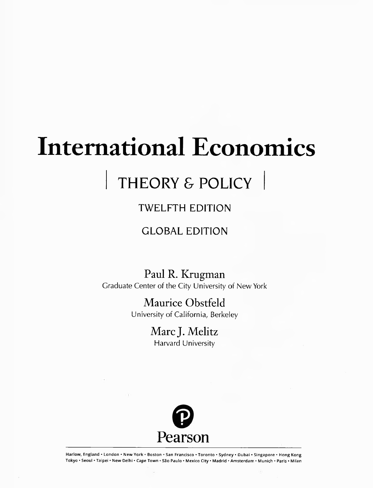# **International Economics**

## THEORY & POLICY

### TWELFTH EDITION

### GLOBAL EDITION

Paul R. Krugman Graduate Center of the City University of New York

> Maurice Obstfeld University of California, Berkeley

> > Marc J. Melitz Harvard University



Harlow, England • London • New York • Boston • San Francisco • Toronto • Sydney • Dubai • Singapore • Hong Kong Tokyo • Seoul • Taipei • New Delhi • Cape Town • Säo Paulo • Mexico City • Madrid • Amsterdam • Munich • Paris • Milan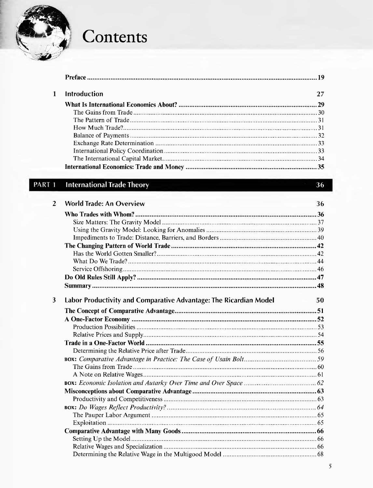

## Contents

| <b>Introduction</b> | 27 |
|---------------------|----|
|                     |    |
|                     |    |
|                     |    |
|                     |    |
|                     |    |
|                     |    |
|                     |    |
|                     |    |
|                     |    |

#### PART<sub>1</sub> **International Trade Theory**

| $\mathbf{2}$ | <b>World Trade: An Overview</b>                                   | 36 |
|--------------|-------------------------------------------------------------------|----|
|              |                                                                   |    |
|              |                                                                   |    |
|              |                                                                   |    |
|              |                                                                   |    |
|              |                                                                   |    |
|              |                                                                   |    |
|              |                                                                   |    |
|              |                                                                   |    |
|              |                                                                   |    |
|              |                                                                   |    |
| 3            | Labor Productivity and Comparative Advantage: The Ricardian Model | 50 |
|              |                                                                   |    |
|              |                                                                   |    |
|              |                                                                   |    |
|              |                                                                   |    |
|              |                                                                   |    |
|              |                                                                   |    |
|              |                                                                   |    |
|              |                                                                   |    |
|              |                                                                   |    |
|              |                                                                   |    |
|              |                                                                   |    |
|              |                                                                   |    |
|              |                                                                   |    |
|              |                                                                   |    |
|              |                                                                   |    |
|              |                                                                   |    |
|              |                                                                   |    |
|              |                                                                   |    |
|              |                                                                   |    |

36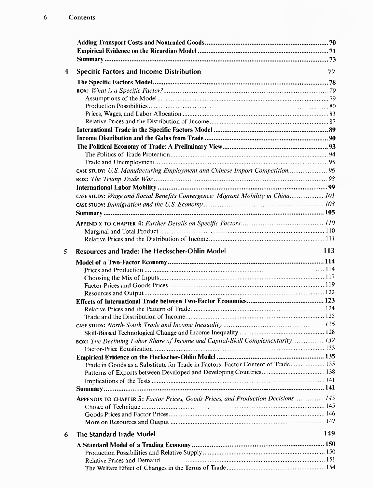| <b>Specific Factors and Income Distribution</b>                                   | 77  |
|-----------------------------------------------------------------------------------|-----|
|                                                                                   |     |
|                                                                                   |     |
|                                                                                   |     |
|                                                                                   |     |
|                                                                                   |     |
|                                                                                   |     |
|                                                                                   |     |
|                                                                                   |     |
|                                                                                   |     |
|                                                                                   |     |
|                                                                                   |     |
| CASE STUDY: U.S. Manufacturing Employment and Chinese Import Competition 96       |     |
|                                                                                   |     |
|                                                                                   |     |
| CASE STUDY: Wage and Social Benefits Convergence: Migrant Mobility in China 101   |     |
|                                                                                   |     |
|                                                                                   |     |
|                                                                                   |     |
|                                                                                   |     |
|                                                                                   |     |
|                                                                                   |     |
| Resources and Trade: The Heckscher-Ohlin Model                                    | 113 |
|                                                                                   |     |
|                                                                                   |     |
|                                                                                   |     |
|                                                                                   |     |
|                                                                                   |     |
|                                                                                   |     |
|                                                                                   |     |
|                                                                                   |     |
|                                                                                   |     |
|                                                                                   |     |
| BOX: The Declining Labor Share of Income and Capital-Skill Complementarity  132   |     |
|                                                                                   |     |
|                                                                                   |     |
| Trade in Goods as a Substitute for Trade in Factors: Factor Content of Trade  135 |     |
|                                                                                   |     |
|                                                                                   |     |
|                                                                                   |     |
| APPENDIX TO CHAPTER 5: Factor Prices, Goods Prices, and Production Decisions  145 |     |
|                                                                                   |     |
|                                                                                   |     |
|                                                                                   |     |
| The Standard Trade Model                                                          | 149 |
|                                                                                   |     |
|                                                                                   |     |
|                                                                                   |     |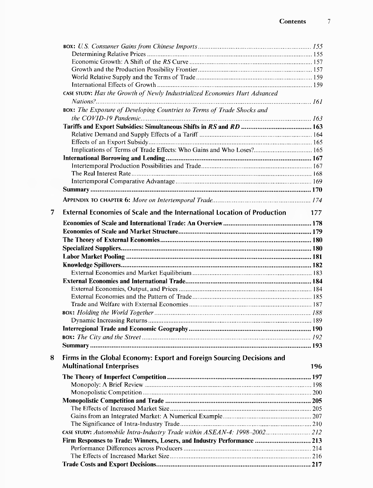|   | CASE STUDY: Has the Growth of Newly Industrialized Economies Hurt Advanced      |     |
|---|---------------------------------------------------------------------------------|-----|
|   | BOX: The Exposure of Developing Countries to Terms of Trade Shocks and          |     |
|   |                                                                                 |     |
|   |                                                                                 |     |
|   |                                                                                 |     |
|   |                                                                                 |     |
|   |                                                                                 |     |
|   |                                                                                 |     |
|   |                                                                                 |     |
|   |                                                                                 |     |
|   |                                                                                 |     |
|   |                                                                                 |     |
|   |                                                                                 |     |
| 7 | <b>External Economies of Scale and the International Location of Production</b> | 177 |
|   |                                                                                 |     |
|   |                                                                                 |     |
|   |                                                                                 |     |
|   |                                                                                 |     |
|   |                                                                                 |     |
|   |                                                                                 |     |
|   |                                                                                 |     |
|   |                                                                                 |     |
|   |                                                                                 |     |
|   |                                                                                 |     |
|   |                                                                                 |     |
|   |                                                                                 |     |
|   |                                                                                 |     |
|   |                                                                                 |     |
|   |                                                                                 |     |
|   |                                                                                 |     |
|   |                                                                                 |     |
| 8 | Firms in the Global Economy: Export and Foreign Sourcing Decisions and          |     |
|   | <b>Multinational Enterprises</b>                                                | 196 |
|   |                                                                                 |     |
|   |                                                                                 |     |
|   |                                                                                 |     |
|   |                                                                                 |     |
|   |                                                                                 |     |
|   |                                                                                 |     |
|   |                                                                                 |     |
|   | CASE STUDY: Automobile Intra-Industry Trade within ASEAN-4: 1998-2002 212       |     |
|   |                                                                                 |     |
|   | Firm Responses to Trade: Winners, Losers, and Industry Performance  213         |     |
|   |                                                                                 |     |
|   |                                                                                 |     |
|   |                                                                                 |     |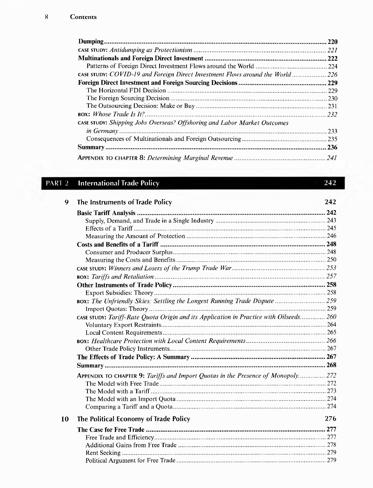|                                                                               | 220   |
|-------------------------------------------------------------------------------|-------|
|                                                                               |       |
|                                                                               | 222   |
|                                                                               |       |
| CASE STUDY: COVID-19 and Foreign Direct Investment Flows around the World 226 |       |
|                                                                               | .229  |
|                                                                               | . 229 |
|                                                                               |       |
|                                                                               |       |
|                                                                               | 232   |
| CASE STUDY: Shipping Jobs Overseas? Offshoring and Labor Market Outcomes      |       |
|                                                                               | 233   |
|                                                                               |       |
|                                                                               | .236  |
|                                                                               | 241   |

242

### **PART 2** International Trade Policy

| 9  | The Instruments of Trade Policy                                                        | 242 |
|----|----------------------------------------------------------------------------------------|-----|
|    |                                                                                        |     |
|    |                                                                                        |     |
|    |                                                                                        |     |
|    |                                                                                        |     |
|    |                                                                                        |     |
|    |                                                                                        |     |
|    |                                                                                        |     |
|    |                                                                                        |     |
|    |                                                                                        |     |
|    |                                                                                        |     |
|    |                                                                                        |     |
|    | BOX: The Unfriendly Skies: Settling the Longest Running Trade Dispute  259             |     |
|    |                                                                                        |     |
|    | CASE STUDY: Tariff-Rate Quota Origin and its Application in Practice with Oilseeds 260 |     |
|    |                                                                                        |     |
|    |                                                                                        |     |
|    |                                                                                        |     |
|    |                                                                                        |     |
|    |                                                                                        |     |
|    |                                                                                        |     |
|    | APPENDIX TO CHAPTER 9: Tariffs and Import Quotas in the Presence of Monopoly 272       |     |
|    |                                                                                        |     |
|    |                                                                                        |     |
|    |                                                                                        |     |
|    |                                                                                        |     |
| 10 | The Political Economy of Trade Policy                                                  | 276 |
|    |                                                                                        |     |
|    |                                                                                        |     |
|    |                                                                                        |     |
|    |                                                                                        |     |
|    |                                                                                        |     |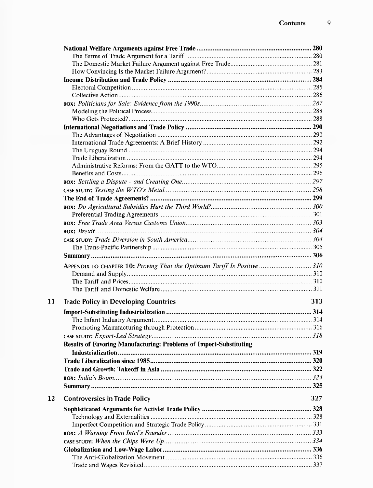|           | APPENDIX TO CHAPTER 10: Proving That the Optimum Tariff Is Positive  310 |     |
|-----------|--------------------------------------------------------------------------|-----|
|           |                                                                          |     |
|           |                                                                          |     |
|           |                                                                          |     |
|           |                                                                          |     |
| 11        | <b>Trade Policy in Developing Countries</b>                              | 313 |
|           |                                                                          |     |
|           |                                                                          |     |
|           |                                                                          |     |
|           |                                                                          |     |
|           | Results of Favoring Manufacturing: Problems of Import-Substituting       |     |
|           |                                                                          |     |
|           |                                                                          |     |
|           |                                                                          |     |
|           |                                                                          |     |
|           |                                                                          |     |
|           |                                                                          |     |
| <b>12</b> | <b>Controversies in Trade Policy</b>                                     | 327 |
|           |                                                                          |     |
|           |                                                                          |     |
|           |                                                                          |     |
|           |                                                                          |     |
|           |                                                                          |     |
|           |                                                                          |     |
|           |                                                                          |     |
|           |                                                                          |     |
|           |                                                                          |     |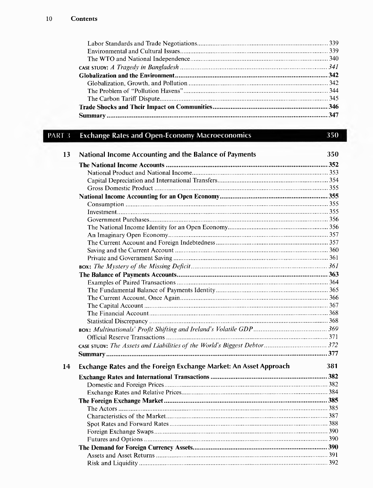350

#### PART 3 **Exchange Rates and Open-Economy Macroeconomics**

| 13 | National Income Accounting and the Balance of Payments            | 350 |
|----|-------------------------------------------------------------------|-----|
|    |                                                                   |     |
|    |                                                                   |     |
|    |                                                                   |     |
|    |                                                                   |     |
|    |                                                                   |     |
|    |                                                                   |     |
|    |                                                                   |     |
|    |                                                                   |     |
|    |                                                                   |     |
|    |                                                                   |     |
|    |                                                                   |     |
|    |                                                                   |     |
|    |                                                                   |     |
|    |                                                                   |     |
|    |                                                                   |     |
|    |                                                                   |     |
|    |                                                                   |     |
|    |                                                                   |     |
|    |                                                                   |     |
|    |                                                                   |     |
|    |                                                                   |     |
|    |                                                                   |     |
|    |                                                                   |     |
|    |                                                                   |     |
|    |                                                                   |     |
| 14 | Exchange Rates and the Foreign Exchange Market: An Asset Approach | 381 |
|    |                                                                   |     |
|    |                                                                   |     |
|    |                                                                   |     |
|    |                                                                   |     |
|    |                                                                   |     |
|    |                                                                   |     |
|    |                                                                   |     |
|    |                                                                   |     |
|    |                                                                   |     |
|    |                                                                   |     |
|    |                                                                   |     |
|    |                                                                   |     |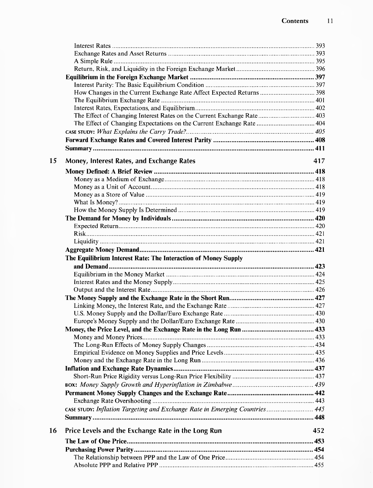|    | How Changes in the Current Exchange Rate Affect Expected Returns  398       |     |
|----|-----------------------------------------------------------------------------|-----|
|    |                                                                             |     |
|    |                                                                             |     |
|    |                                                                             |     |
|    | The Effect of Changing Expectations on the Current Exchange Rate  404       |     |
|    |                                                                             |     |
|    |                                                                             |     |
|    |                                                                             |     |
| 15 | Money, Interest Rates, and Exchange Rates                                   | 417 |
|    |                                                                             |     |
|    |                                                                             |     |
|    |                                                                             |     |
|    |                                                                             |     |
|    |                                                                             |     |
|    |                                                                             |     |
|    |                                                                             |     |
|    |                                                                             |     |
|    |                                                                             |     |
|    |                                                                             |     |
|    |                                                                             |     |
|    | The Equilibrium Interest Rate: The Interaction of Money Supply              |     |
|    |                                                                             |     |
|    |                                                                             |     |
|    |                                                                             |     |
|    |                                                                             |     |
|    |                                                                             |     |
|    |                                                                             |     |
|    |                                                                             |     |
|    |                                                                             |     |
|    |                                                                             |     |
|    |                                                                             |     |
|    |                                                                             |     |
|    |                                                                             |     |
|    |                                                                             |     |
|    |                                                                             |     |
|    |                                                                             |     |
|    |                                                                             |     |
|    |                                                                             |     |
|    |                                                                             |     |
|    | CASE STUDY: Inflation Targeting and Exchange Rate in Emerging Countries 445 |     |
|    |                                                                             |     |
| 16 | Price Levels and the Exchange Rate in the Long Run                          | 452 |
|    |                                                                             |     |
|    |                                                                             |     |
|    |                                                                             |     |
|    |                                                                             |     |
|    |                                                                             |     |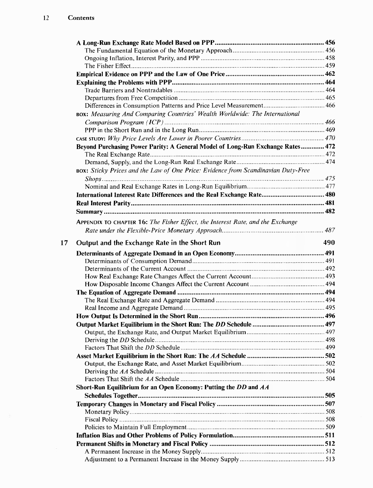| BOX: Measuring And Comparing Countries' Wealth Worldwide: The International       |     |
|-----------------------------------------------------------------------------------|-----|
|                                                                                   |     |
|                                                                                   |     |
|                                                                                   |     |
| Beyond Purchasing Power Parity: A General Model of Long-Run Exchange Rates 472    |     |
|                                                                                   |     |
|                                                                                   |     |
|                                                                                   |     |
| BOX: Sticky Prices and the Law of One Price: Evidence from Scandinavian Duty-Free |     |
|                                                                                   |     |
|                                                                                   |     |
| International Interest Rate Differences and the Real Exchange Rate 480            |     |
|                                                                                   |     |
|                                                                                   |     |
| APPENDIX TO CHAPTER 16: The Fisher Effect, the Interest Rate, and the Exchange    |     |
|                                                                                   |     |
|                                                                                   |     |
| Output and the Exchange Rate in the Short Run                                     | 490 |
|                                                                                   |     |
|                                                                                   |     |
|                                                                                   |     |
|                                                                                   |     |
|                                                                                   |     |
|                                                                                   |     |
|                                                                                   |     |
|                                                                                   |     |
|                                                                                   |     |
|                                                                                   |     |
|                                                                                   |     |
|                                                                                   |     |
|                                                                                   |     |
|                                                                                   |     |
|                                                                                   |     |
|                                                                                   |     |
|                                                                                   |     |
|                                                                                   |     |
| Short-Run Equilibrium for an Open Economy: Putting the DD and AA                  |     |
|                                                                                   |     |
|                                                                                   |     |
|                                                                                   |     |
|                                                                                   |     |
|                                                                                   |     |
|                                                                                   |     |
|                                                                                   |     |
|                                                                                   |     |
|                                                                                   |     |
|                                                                                   |     |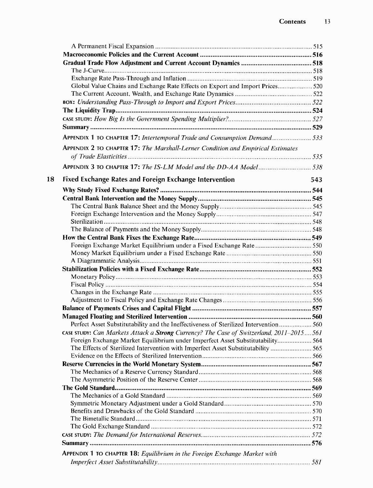| Global Value Chains and Exchange Rate Effects on Export and Import Prices 520                                                                                             |  |
|---------------------------------------------------------------------------------------------------------------------------------------------------------------------------|--|
|                                                                                                                                                                           |  |
|                                                                                                                                                                           |  |
|                                                                                                                                                                           |  |
|                                                                                                                                                                           |  |
|                                                                                                                                                                           |  |
|                                                                                                                                                                           |  |
| APPENDIX 2 TO CHAPTER 17: The Marshall-Lerner Condition and Empirical Estimates                                                                                           |  |
|                                                                                                                                                                           |  |
|                                                                                                                                                                           |  |
|                                                                                                                                                                           |  |
| <b>Fixed Exchange Rates and Foreign Exchange Intervention</b>                                                                                                             |  |
|                                                                                                                                                                           |  |
|                                                                                                                                                                           |  |
|                                                                                                                                                                           |  |
|                                                                                                                                                                           |  |
|                                                                                                                                                                           |  |
|                                                                                                                                                                           |  |
|                                                                                                                                                                           |  |
|                                                                                                                                                                           |  |
|                                                                                                                                                                           |  |
|                                                                                                                                                                           |  |
|                                                                                                                                                                           |  |
|                                                                                                                                                                           |  |
|                                                                                                                                                                           |  |
|                                                                                                                                                                           |  |
|                                                                                                                                                                           |  |
|                                                                                                                                                                           |  |
| Perfect Asset Substitutability and the Ineffectiveness of Sterilized Intervention 560                                                                                     |  |
|                                                                                                                                                                           |  |
| CASE STUDY: Can Markets Attack a Strong Currency? The Case of Switzerland, 2011-2015561<br>Foreign Exchange Market Equilibrium under Imperfect Asset Substitutability 564 |  |
| The Effects of Sterilized Intervention with Imperfect Asset Substitutability  565                                                                                         |  |
|                                                                                                                                                                           |  |
|                                                                                                                                                                           |  |
|                                                                                                                                                                           |  |
|                                                                                                                                                                           |  |
|                                                                                                                                                                           |  |
|                                                                                                                                                                           |  |
|                                                                                                                                                                           |  |
|                                                                                                                                                                           |  |
|                                                                                                                                                                           |  |
|                                                                                                                                                                           |  |
|                                                                                                                                                                           |  |
|                                                                                                                                                                           |  |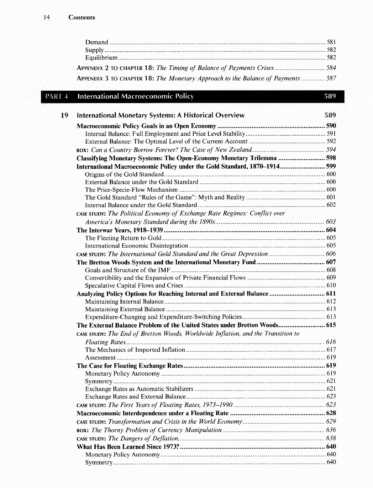| APPENDIX 2 TO CHAPTER 18: The Timing of Balance of Payments Crises584                  |  |
|----------------------------------------------------------------------------------------|--|
| <b>APPENDIX 3 TO CHAPTER 18: The Monetary Approach to the Balance of Payments  587</b> |  |

### **PART 4 International Macroeconomic Policy 589**

| <b>International Monetary Systems: A Historical Overview</b>                     | 589 |
|----------------------------------------------------------------------------------|-----|
|                                                                                  |     |
|                                                                                  |     |
|                                                                                  |     |
|                                                                                  |     |
| Classifying Monetary Systems: The Open-Economy Monetary Trilemma  598            |     |
| International Macroeconomic Policy under the Gold Standard, 1870-1914 599        |     |
|                                                                                  |     |
|                                                                                  |     |
|                                                                                  |     |
|                                                                                  |     |
|                                                                                  |     |
| CASE STUDY: The Political Economy of Exchange Rate Regimes: Conflict over        |     |
|                                                                                  |     |
|                                                                                  |     |
|                                                                                  |     |
|                                                                                  |     |
| CASE STUDY: The International Gold Standard and the Great Depression  606        |     |
|                                                                                  |     |
|                                                                                  |     |
|                                                                                  |     |
|                                                                                  |     |
| Analyzing Policy Options for Reaching Internal and External Balance 611          |     |
|                                                                                  |     |
|                                                                                  |     |
|                                                                                  |     |
| The External Balance Problem of the United States under Bretton Woods 615        |     |
| CASE STUDY: The End of Bretton Woods, Worldwide Inflation, and the Transition to |     |
|                                                                                  |     |
|                                                                                  |     |
|                                                                                  |     |
|                                                                                  |     |
|                                                                                  |     |
|                                                                                  |     |
|                                                                                  |     |
|                                                                                  |     |
|                                                                                  |     |
|                                                                                  |     |
|                                                                                  |     |
|                                                                                  |     |
|                                                                                  |     |
|                                                                                  |     |
|                                                                                  |     |
|                                                                                  |     |
|                                                                                  |     |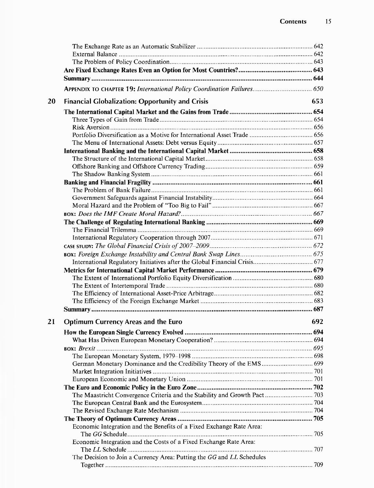|    | APPENDIX TO CHAPTER 19: International Policy Coordination Failures 650 |     |
|----|------------------------------------------------------------------------|-----|
| 20 | <b>Financial Globalization: Opportunity and Crisis</b>                 | 653 |
|    |                                                                        |     |
|    |                                                                        |     |
|    |                                                                        |     |
|    |                                                                        |     |
|    |                                                                        |     |
|    |                                                                        |     |
|    |                                                                        |     |
|    |                                                                        |     |
|    |                                                                        |     |
|    |                                                                        |     |
|    |                                                                        |     |
|    |                                                                        |     |
|    |                                                                        |     |
|    |                                                                        |     |
|    |                                                                        |     |
|    |                                                                        |     |
|    |                                                                        |     |
|    |                                                                        |     |
|    |                                                                        |     |
|    |                                                                        |     |
|    |                                                                        |     |
|    |                                                                        |     |
|    |                                                                        |     |
|    |                                                                        |     |
|    |                                                                        |     |
| 21 | <b>Optimum Currency Areas and the Euro</b>                             | 692 |
|    |                                                                        |     |
|    |                                                                        |     |
|    |                                                                        |     |
|    | The European Monetary System, 1979-1998                                |     |
|    |                                                                        |     |
|    |                                                                        |     |
|    |                                                                        |     |
|    |                                                                        |     |
|    |                                                                        |     |
|    |                                                                        |     |
|    |                                                                        |     |
|    |                                                                        |     |
|    | Economic Integration and the Benefits of a Fixed Exchange Rate Area:   |     |
|    | Economic Integration and the Costs of a Fixed Exchange Rate Area:      |     |
|    |                                                                        |     |
|    | The Decision to Join a Currency Area: Putting the GG and LL Schedules  |     |
|    |                                                                        |     |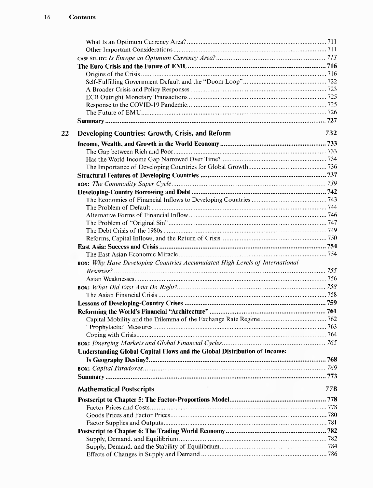| 22 | Developing Countries: Growth, Crisis, and Reform                            | 732 |
|----|-----------------------------------------------------------------------------|-----|
|    |                                                                             |     |
|    |                                                                             |     |
|    |                                                                             |     |
|    |                                                                             |     |
|    |                                                                             |     |
|    |                                                                             |     |
|    |                                                                             |     |
|    |                                                                             |     |
|    |                                                                             |     |
|    |                                                                             |     |
|    |                                                                             |     |
|    |                                                                             |     |
|    |                                                                             |     |
|    |                                                                             |     |
|    |                                                                             |     |
|    | BOX: Why Have Developing Countries Accumulated High Levels of International |     |
|    |                                                                             |     |
|    |                                                                             |     |
|    |                                                                             |     |
|    |                                                                             |     |
|    |                                                                             |     |
|    |                                                                             |     |
|    |                                                                             |     |
|    |                                                                             |     |
|    |                                                                             |     |
|    |                                                                             |     |
|    | Understanding Global Capital Flows and the Global Distribution of Income:   |     |
|    |                                                                             |     |
|    |                                                                             |     |
|    |                                                                             |     |
|    | <b>Mathematical Postscripts</b>                                             | 778 |
|    |                                                                             |     |
|    |                                                                             |     |
|    |                                                                             |     |
|    |                                                                             |     |
|    |                                                                             |     |
|    |                                                                             |     |
|    |                                                                             |     |
|    |                                                                             |     |